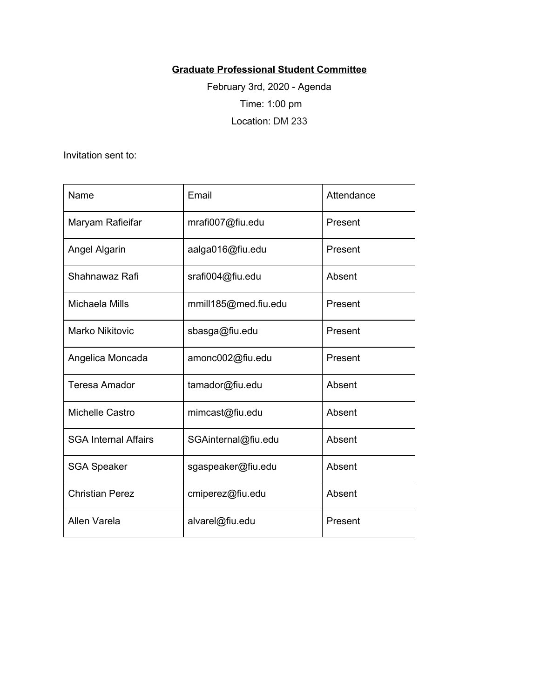## **Graduate Professional Student Committee**

February 3rd, 2020 - Agenda Time: 1:00 pm Location: DM 233

Invitation sent to:

| Name                        | Email                | Attendance |
|-----------------------------|----------------------|------------|
| Maryam Rafieifar            | mrafi007@fiu.edu     | Present    |
| Angel Algarin               | aalga016@fiu.edu     | Present    |
| Shahnawaz Rafi              | srafi004@fiu.edu     | Absent     |
| Michaela Mills              | mmill185@med.fiu.edu | Present    |
| <b>Marko Nikitovic</b>      | sbasga@fiu.edu       | Present    |
| Angelica Moncada            | amonc002@fiu.edu     | Present    |
| <b>Teresa Amador</b>        | tamador@fiu.edu      | Absent     |
| Michelle Castro             | mimcast@fiu.edu      | Absent     |
| <b>SGA Internal Affairs</b> | SGAinternal@fiu.edu  | Absent     |
| <b>SGA Speaker</b>          | sgaspeaker@fiu.edu   | Absent     |
| <b>Christian Perez</b>      | cmiperez@fiu.edu     | Absent     |
| Allen Varela                | alvarel@fiu.edu      | Present    |